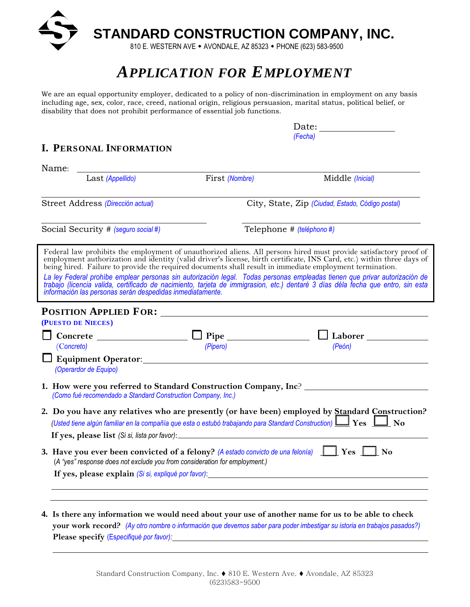

# *APPLICATION FOR EMPLOYMENT*

We are an equal opportunity employer, dedicated to a policy of non-discrimination in employment on any basis including age, sex, color, race, creed, national origin, religious persuasion, marital status, political belief, or disability that does not prohibit performance of essential job functions.

| I. PERSONAL INFORMATION                                                    |                                                                                                                          |                                                                                                                                                                                                                                                                                                                                                                                                                                                                                                                                                                                          |  |  |
|----------------------------------------------------------------------------|--------------------------------------------------------------------------------------------------------------------------|------------------------------------------------------------------------------------------------------------------------------------------------------------------------------------------------------------------------------------------------------------------------------------------------------------------------------------------------------------------------------------------------------------------------------------------------------------------------------------------------------------------------------------------------------------------------------------------|--|--|
|                                                                            | (Fecha)                                                                                                                  |                                                                                                                                                                                                                                                                                                                                                                                                                                                                                                                                                                                          |  |  |
|                                                                            |                                                                                                                          |                                                                                                                                                                                                                                                                                                                                                                                                                                                                                                                                                                                          |  |  |
| Name:                                                                      |                                                                                                                          |                                                                                                                                                                                                                                                                                                                                                                                                                                                                                                                                                                                          |  |  |
| Last (Appellido)                                                           | First (Nombre)                                                                                                           | Middle (Inicial)                                                                                                                                                                                                                                                                                                                                                                                                                                                                                                                                                                         |  |  |
| Street Address (Dirección actual)                                          |                                                                                                                          | City, State, Zip (Ciudad, Estado, Código postal)                                                                                                                                                                                                                                                                                                                                                                                                                                                                                                                                         |  |  |
| Social Security # (seguro social #)                                        |                                                                                                                          | Telephone # (teléphono #)                                                                                                                                                                                                                                                                                                                                                                                                                                                                                                                                                                |  |  |
|                                                                            |                                                                                                                          | Federal law prohibits the employment of unauthorized aliens. All persons hired must provide satisfactory proof of<br>employment authorization and identity (valid driver's license, birth certificate, INS Card, etc.) within three days of<br>being hired. Failure to provide the required documents shall result in immediate employment termination<br>La ley Federal prohíbe emplear personas sin autorización legal. Todas personas empleadas tienen que privar autorización de trabajo (licencia valida, certificado de nacimiento, tarjeta de immigrasion, etc.) dentaré 3 días d |  |  |
| (PUESTO DE NIECES)                                                         |                                                                                                                          |                                                                                                                                                                                                                                                                                                                                                                                                                                                                                                                                                                                          |  |  |
|                                                                            |                                                                                                                          |                                                                                                                                                                                                                                                                                                                                                                                                                                                                                                                                                                                          |  |  |
| (Concreto)                                                                 | (Pipero)                                                                                                                 | (Peón)                                                                                                                                                                                                                                                                                                                                                                                                                                                                                                                                                                                   |  |  |
| (Operardor de Equipo)                                                      |                                                                                                                          |                                                                                                                                                                                                                                                                                                                                                                                                                                                                                                                                                                                          |  |  |
| (Como fué recomendado a Standard Construction Company, Inc.)               |                                                                                                                          | 1. How were you referred to Standard Construction Company, Inc? _________________                                                                                                                                                                                                                                                                                                                                                                                                                                                                                                        |  |  |
|                                                                            | (Usted tiene algún familiar en la compañía que esta o estubó trabajando para Standard Construction) $\Box$ Yes $\Box$ No | 2. Do you have any relatives who are presently (or have been) employed by Standard Construction?                                                                                                                                                                                                                                                                                                                                                                                                                                                                                         |  |  |
|                                                                            |                                                                                                                          |                                                                                                                                                                                                                                                                                                                                                                                                                                                                                                                                                                                          |  |  |
|                                                                            | 3. Have you ever been convicted of a felony? (A estado convicto de una felonía) $\Box$ Yes $\Box$ No                     |                                                                                                                                                                                                                                                                                                                                                                                                                                                                                                                                                                                          |  |  |
| (A "yes" response does not exclude you from consideration for employment.) |                                                                                                                          |                                                                                                                                                                                                                                                                                                                                                                                                                                                                                                                                                                                          |  |  |

**4. Is there any information we would need about your use of another name for us to be able to check your work record?** *(Ay otro nombre o información que devemos saber para poder imbestigar su istoria en trabajos pasados?)* **Please specify** (Es*pecifiqué por favor):*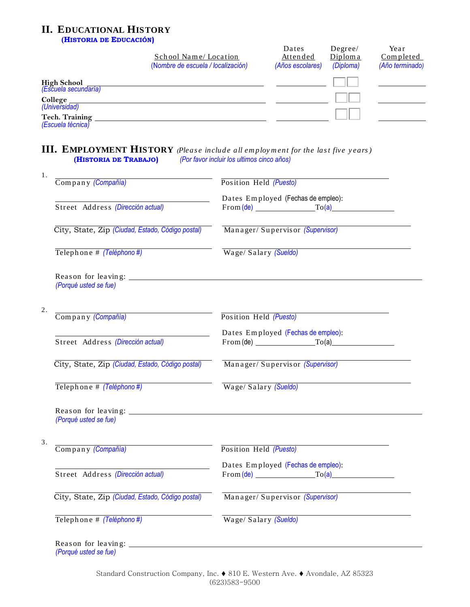## **II. EDUCATIONAL HISTORY**

 **(HISTORIA DE EDUCACIÓN)**

|                                            | School Name/Location<br>(Nombre de escuela / localización) | Dates<br>Attended<br>(Años escolares) | Degree/<br>Diploma<br>(Diploma) | Year<br>Completed<br>(Año terminado) |
|--------------------------------------------|------------------------------------------------------------|---------------------------------------|---------------------------------|--------------------------------------|
| High School<br>(Escuela secundaria)        |                                                            |                                       |                                 |                                      |
| College<br>(Universidad)                   |                                                            |                                       |                                 |                                      |
| <b>Tech. Training</b><br>(Escuela técnica) |                                                            |                                       |                                 |                                      |

### **III. EMPLOYMENT HISTORY** *(Please include all employment for the last five years)* **(HISTORIA DE TRABAJO)** *(Por favor incluir los ultimos cinco años)*

| Company (Compañía)                               | Position Held (Puesto)                                     |
|--------------------------------------------------|------------------------------------------------------------|
|                                                  | Dates Employed (Fechas de empleo):                         |
| Street Address (Dirección actual)                | $From (de)$ $To (a)$                                       |
| City, State, Zip (Ciudad, Estado, Código postal) | Manager/Supervisor (Supervisor)                            |
| Telephone # (Teléphono #)                        | Wage/Salary (Sueldo)                                       |
| (Porqué usted se fue)                            |                                                            |
|                                                  |                                                            |
| Company (Compañía)                               | Position Held (Puesto)                                     |
|                                                  | Dates Employed (Fechas de empleo):                         |
| Street Address (Dirección actual)                | $From (de)$ $To (a)$                                       |
| City, State, Zip (Ciudad, Estado, Código postal) | Manager/Supervisor (Supervisor)                            |
| Telephone # (Teléphono#)                         | Wage/Salary (Sueldo)                                       |
|                                                  |                                                            |
| (Porqué usted se fue)                            |                                                            |
| Company (Compañía)                               | Position Held (Puesto)                                     |
|                                                  |                                                            |
|                                                  |                                                            |
| Street Address (Dirección actual)                | Dates Employed (Fechas de empleo):<br>$From (de)$ $To (a)$ |
| City, State, Zip (Ciudad, Estado, Código postal) | Manager/Supervisor (Supervisor)                            |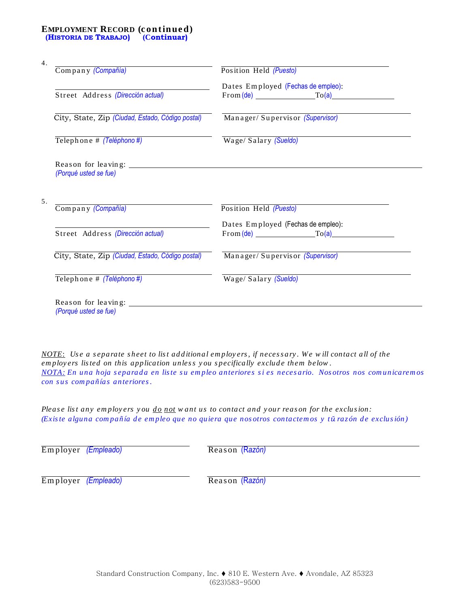#### **EMPLOYMENT RECORD (c ont inue d)**  **(HISTORIA DE TRABAJO) (Continuar)**

| Company (Compañía)                               | Position Held (Puesto)                                     |
|--------------------------------------------------|------------------------------------------------------------|
|                                                  | Dates Employed (Fechas de empleo):                         |
| Street Address (Dirección actual)                | $From (de)$ $To (a)$                                       |
| City, State, Zip (Ciudad, Estado, Código postal) | Manager/Supervisor (Supervisor)                            |
| Telephone # (Teléphono #)                        | Wage/Salary (Sueldo)                                       |
|                                                  |                                                            |
|                                                  |                                                            |
| (Porqué usted se fue)                            |                                                            |
|                                                  |                                                            |
| Company (Compañía)                               | Position Held (Puesto)                                     |
|                                                  |                                                            |
| Street Address (Dirección actual)                | Dates Employed (Fechas de empleo):<br>$From (de)$ $To (a)$ |
| City, State, Zip (Ciudad, Estado, Código postal) | Manager/Supervisor (Supervisor)                            |
| Telephone # (Teléphono #)                        | Wage/Salary (Sueldo)                                       |

*NOTE*: Use a separate sheet to list additional employers, if necessary. We will contact all of the *employers listed on this application unless you specifically exclude them below. NOTA: En una hoja s eparad a en lis te s u em pleo anteriores s i es neces ario. Nos otros nos com unicarem os con s us com pañías anteriores.* 

*Please list any employers you do not w ant us to contact and your reason for the exclusion: (Existe alguna compañía de empleo que no quiera que nos otros contactemos y tūrazón de exclusión)* 

Em ployer *(Empleado)* Rea s on (R*azón)*

Em ployer *(Empleado)* Rea s on (R*azón)*